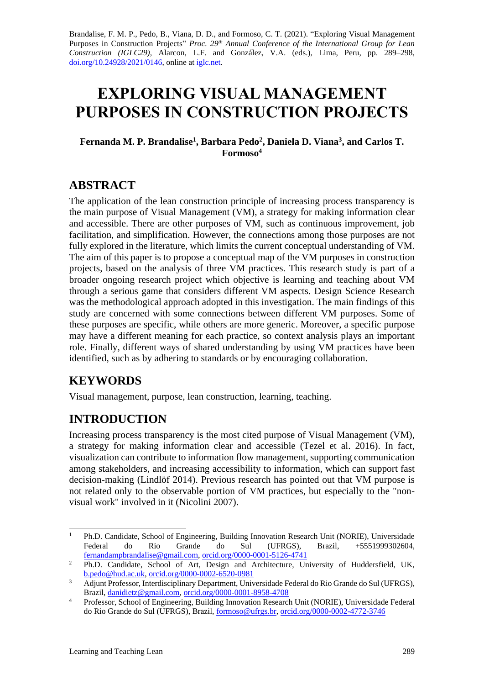Brandalise, F. M. P., Pedo, B., Viana, D. D., and Formoso, C. T. (2021). "Exploring Visual Management Purposes in Construction Projects" *Proc. 29 th Annual Conference of the International Group for Lean Construction (IGLC29),* Alarcon, L.F. and González, V.A. (eds.)*,* Lima, Peru, pp. 289–298, [doi.org/10.24928/2021/0146,](https://doi.org/10.24928/2021/0146) online a[t iglc.net.](http://iglc.net/)

# **EXPLORING VISUAL MANAGEMENT PURPOSES IN CONSTRUCTION PROJECTS**

#### **Fernanda M. P. Brandalise<sup>1</sup> , Barbara Pedo 2 , Daniela D. Viana<sup>3</sup> , and Carlos T. Formoso<sup>4</sup>**

### **ABSTRACT**

The application of the lean construction principle of increasing process transparency is the main purpose of Visual Management (VM), a strategy for making information clear and accessible. There are other purposes of VM, such as continuous improvement, job facilitation, and simplification. However, the connections among those purposes are not fully explored in the literature, which limits the current conceptual understanding of VM. The aim of this paper is to propose a conceptual map of the VM purposes in construction projects, based on the analysis of three VM practices. This research study is part of a broader ongoing research project which objective is learning and teaching about VM through a serious game that considers different VM aspects. Design Science Research was the methodological approach adopted in this investigation. The main findings of this study are concerned with some connections between different VM purposes. Some of these purposes are specific, while others are more generic. Moreover, a specific purpose may have a different meaning for each practice, so context analysis plays an important role. Finally, different ways of shared understanding by using VM practices have been identified, such as by adhering to standards or by encouraging collaboration.

### **KEYWORDS**

Visual management, purpose, lean construction, learning, teaching.

# **INTRODUCTION**

Increasing process transparency is the most cited purpose of Visual Management (VM), a strategy for making information clear and accessible (Tezel et al. 2016). In fact, visualization can contribute to information flow management, supporting communication among stakeholders, and increasing accessibility to information, which can support fast decision-making (Lindlöf 2014). Previous research has pointed out that VM purpose is not related only to the observable portion of VM practices, but especially to the "nonvisual work" involved in it (Nicolini 2007).

<sup>&</sup>lt;sup>1</sup> Ph.D. Candidate, School of Engineering, Building Innovation Research Unit (NORIE), Universidade Federal do Rio Grande do Sul (UFRGS), Brazil, +5551999302604, [fernandampbrandalise@gmail.com,](mailto:fernandampbrandalise@gmail.com) [orcid.org/0000-0001-5126-4741](https://orcid.org/0000-0001-5126-4741)

<sup>&</sup>lt;sup>2</sup> Ph.D. Candidate, School of Art, Design and Architecture, University of Huddersfield, UK, [b.pedo@hud.ac.uk,](mailto:b.pedo@hud.ac.uk) [orcid.org/0000-0002-6520-0981](https://orcid.org/0000-0002-6520-0981)

<sup>&</sup>lt;sup>3</sup> Adjunt Professor, Interdisciplinary Department, Universidade Federal do Rio Grande do Sul (UFRGS), Brazil[, danidietz@gmail.com,](mailto:danidietz@gmail.com) [orcid.org/0000-0001-8958-4708](https://orcid.org/0000-0001-8958-4708)

<sup>&</sup>lt;sup>4</sup> Professor, School of Engineering, Building Innovation Research Unit (NORIE), Universidade Federal do Rio Grande do Sul (UFRGS), Brazil, [formoso@ufrgs.br,](mailto:formoso@ufrgs.br) [orcid.org/0000-0002-4772-3746](https://orcid.org/0000-0002-4772-3746)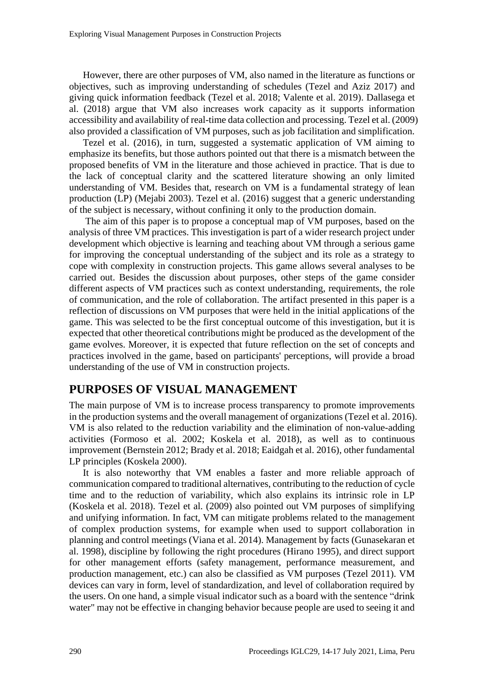However, there are other purposes of VM, also named in the literature as functions or objectives, such as improving understanding of schedules (Tezel and Aziz 2017) and giving quick information feedback (Tezel et al. 2018; Valente et al. 2019). Dallasega et al. (2018) argue that VM also increases work capacity as it supports information accessibility and availability of real-time data collection and processing. Tezel et al. (2009) also provided a classification of VM purposes, such as job facilitation and simplification.

Tezel et al. (2016), in turn, suggested a systematic application of VM aiming to emphasize its benefits, but those authors pointed out that there is a mismatch between the proposed benefits of VM in the literature and those achieved in practice. That is due to the lack of conceptual clarity and the scattered literature showing an only limited understanding of VM. Besides that, research on VM is a fundamental strategy of lean production (LP) (Mejabi 2003). Tezel et al. (2016) suggest that a generic understanding of the subject is necessary, without confining it only to the production domain.

The aim of this paper is to propose a conceptual map of VM purposes, based on the analysis of three VM practices. This investigation is part of a wider research project under development which objective is learning and teaching about VM through a serious game for improving the conceptual understanding of the subject and its role as a strategy to cope with complexity in construction projects. This game allows several analyses to be carried out. Besides the discussion about purposes, other steps of the game consider different aspects of VM practices such as context understanding, requirements, the role of communication, and the role of collaboration. The artifact presented in this paper is a reflection of discussions on VM purposes that were held in the initial applications of the game. This was selected to be the first conceptual outcome of this investigation, but it is expected that other theoretical contributions might be produced as the development of the game evolves. Moreover, it is expected that future reflection on the set of concepts and practices involved in the game, based on participants' perceptions, will provide a broad understanding of the use of VM in construction projects.

### **PURPOSES OF VISUAL MANAGEMENT**

The main purpose of VM is to increase process transparency to promote improvements in the production systems and the overall management of organizations (Tezel et al. 2016). VM is also related to the reduction variability and the elimination of non-value-adding activities (Formoso et al. 2002; Koskela et al. 2018), as well as to continuous improvement (Bernstein 2012; Brady et al. 2018; Eaidgah et al. 2016), other fundamental LP principles (Koskela 2000).

It is also noteworthy that VM enables a faster and more reliable approach of communication compared to traditional alternatives, contributing to the reduction of cycle time and to the reduction of variability, which also explains its intrinsic role in LP (Koskela et al. 2018). Tezel et al. (2009) also pointed out VM purposes of simplifying and unifying information. In fact, VM can mitigate problems related to the management of complex production systems, for example when used to support collaboration in planning and control meetings (Viana et al. 2014). Management by facts (Gunasekaran et al. 1998), discipline by following the right procedures (Hirano 1995), and direct support for other management efforts (safety management, performance measurement, and production management, etc.) can also be classified as VM purposes (Tezel 2011). VM devices can vary in form, level of standardization, and level of collaboration required by the users. On one hand, a simple visual indicator such as a board with the sentence "drink water" may not be effective in changing behavior because people are used to seeing it and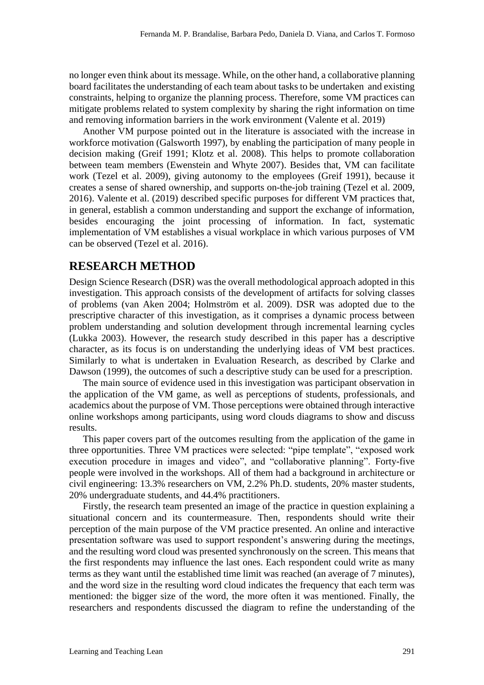no longer even think about its message. While, on the other hand, a collaborative planning board facilitates the understanding of each team about tasks to be undertaken and existing constraints, helping to organize the planning process. Therefore, some VM practices can mitigate problems related to system complexity by sharing the right information on time and removing information barriers in the work environment (Valente et al. 2019)

Another VM purpose pointed out in the literature is associated with the increase in workforce motivation (Galsworth 1997), by enabling the participation of many people in decision making (Greif 1991; Klotz et al. 2008). This helps to promote collaboration between team members (Ewenstein and Whyte 2007). Besides that, VM can facilitate work (Tezel et al. 2009), giving autonomy to the employees (Greif 1991), because it creates a sense of shared ownership, and supports on-the-job training (Tezel et al. 2009, 2016). Valente et al. (2019) described specific purposes for different VM practices that, in general, establish a common understanding and support the exchange of information, besides encouraging the joint processing of information. In fact, systematic implementation of VM establishes a visual workplace in which various purposes of VM can be observed (Tezel et al. 2016).

### **RESEARCH METHOD**

Design Science Research (DSR) was the overall methodological approach adopted in this investigation. This approach consists of the development of artifacts for solving classes of problems (van Aken 2004; Holmström et al. 2009). DSR was adopted due to the prescriptive character of this investigation, as it comprises a dynamic process between problem understanding and solution development through incremental learning cycles (Lukka 2003). However, the research study described in this paper has a descriptive character, as its focus is on understanding the underlying ideas of VM best practices. Similarly to what is undertaken in Evaluation Research, as described by Clarke and Dawson (1999), the outcomes of such a descriptive study can be used for a prescription.

The main source of evidence used in this investigation was participant observation in the application of the VM game, as well as perceptions of students, professionals, and academics about the purpose of VM. Those perceptions were obtained through interactive online workshops among participants, using word clouds diagrams to show and discuss results.

This paper covers part of the outcomes resulting from the application of the game in three opportunities. Three VM practices were selected: "pipe template", "exposed work execution procedure in images and video", and "collaborative planning". Forty-five people were involved in the workshops. All of them had a background in architecture or civil engineering: 13.3% researchers on VM, 2.2% Ph.D. students, 20% master students, 20% undergraduate students, and 44.4% practitioners.

Firstly, the research team presented an image of the practice in question explaining a situational concern and its countermeasure. Then, respondents should write their perception of the main purpose of the VM practice presented. An online and interactive presentation software was used to support respondent's answering during the meetings, and the resulting word cloud was presented synchronously on the screen. This means that the first respondents may influence the last ones. Each respondent could write as many terms as they want until the established time limit was reached (an average of 7 minutes), and the word size in the resulting word cloud indicates the frequency that each term was mentioned: the bigger size of the word, the more often it was mentioned. Finally, the researchers and respondents discussed the diagram to refine the understanding of the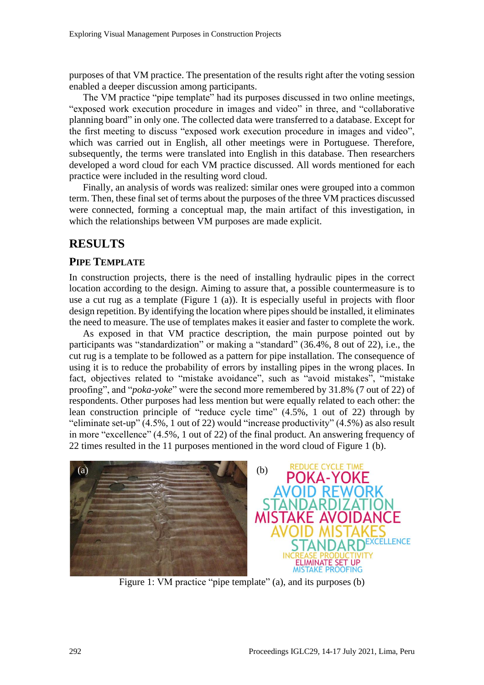purposes of that VM practice. The presentation of the results right after the voting session enabled a deeper discussion among participants.

The VM practice "pipe template" had its purposes discussed in two online meetings, "exposed work execution procedure in images and video" in three, and "collaborative planning board" in only one. The collected data were transferred to a database. Except for the first meeting to discuss "exposed work execution procedure in images and video", which was carried out in English, all other meetings were in Portuguese. Therefore, subsequently, the terms were translated into English in this database. Then researchers developed a word cloud for each VM practice discussed. All words mentioned for each practice were included in the resulting word cloud.

Finally, an analysis of words was realized: similar ones were grouped into a common term. Then, these final set of terms about the purposes of the three VM practices discussed were connected, forming a conceptual map, the main artifact of this investigation, in which the relationships between VM purposes are made explicit.

### **RESULTS**

#### **PIPE TEMPLATE**

In construction projects, there is the need of installing hydraulic pipes in the correct location according to the design. Aiming to assure that, a possible countermeasure is to use a cut rug as a template (Figure 1 (a)). It is especially useful in projects with floor design repetition. By identifying the location where pipes should be installed, it eliminates the need to measure. The use of templates makes it easier and faster to complete the work.

As exposed in that VM practice description, the main purpose pointed out by participants was "standardization" or making a "standard" (36.4%, 8 out of 22), i.e., the cut rug is a template to be followed as a pattern for pipe installation. The consequence of using it is to reduce the probability of errors by installing pipes in the wrong places. In fact, objectives related to "mistake avoidance", such as "avoid mistakes", "mistake proofing", and "*poka-yoke*" were the second more remembered by 31.8% (7 out of 22) of respondents. Other purposes had less mention but were equally related to each other: the lean construction principle of "reduce cycle time" (4.5%, 1 out of 22) through by "eliminate set-up" (4.5%, 1 out of 22) would "increase productivity" (4.5%) as also result in more "excellence" (4.5%, 1 out of 22) of the final product. An answering frequency of 22 times resulted in the 11 purposes mentioned in the word cloud of Figure 1 (b).



Figure 1: VM practice "pipe template" (a), and its purposes (b)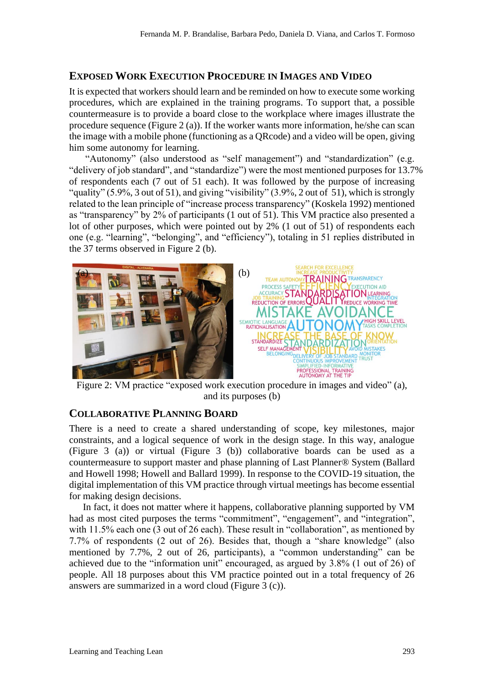#### **EXPOSED WORK EXECUTION PROCEDURE IN IMAGES AND VIDEO**

It is expected that workers should learn and be reminded on how to execute some working procedures, which are explained in the training programs. To support that, a possible countermeasure is to provide a board close to the workplace where images illustrate the procedure sequence (Figure 2 (a)). If the worker wants more information, he/she can scan the image with a mobile phone (functioning as a QRcode) and a video will be open, giving him some autonomy for learning.

"Autonomy" (also understood as "self management") and "standardization" (e.g. "delivery of job standard", and "standardize") were the most mentioned purposes for 13.7% of respondents each (7 out of 51 each). It was followed by the purpose of increasing "quality" (5.9%, 3 out of 51), and giving "visibility" (3.9%, 2 out of 51), which is strongly related to the lean principle of "increase process transparency" (Koskela 1992) mentioned as "transparency" by 2% of participants (1 out of 51). This VM practice also presented a lot of other purposes, which were pointed out by 2% (1 out of 51) of respondents each one (e.g. "learning", "belonging", and "efficiency"), totaling in 51 replies distributed in the 37 terms observed in Figure 2 (b).



Figure 2: VM practice "exposed work execution procedure in images and video" (a), and its purposes (b)

#### **COLLABORATIVE PLANNING BOARD**

There is a need to create a shared understanding of scope, key milestones, major constraints, and a logical sequence of work in the design stage. In this way, analogue (Figure 3 (a)) or virtual (Figure 3 (b)) collaborative boards can be used as a countermeasure to support master and phase planning of Last Planner® System (Ballard and Howell 1998; Howell and Ballard 1999). In response to the COVID-19 situation, the digital implementation of this VM practice through virtual meetings has become essential for making design decisions.

In fact, it does not matter where it happens, collaborative planning supported by VM had as most cited purposes the terms "commitment", "engagement", and "integration", with 11.5% each one (3 out of 26 each). These result in "collaboration", as mentioned by 7.7% of respondents (2 out of 26). Besides that, though a "share knowledge" (also mentioned by 7.7%, 2 out of 26, participants), a "common understanding" can be achieved due to the "information unit" encouraged, as argued by 3.8% (1 out of 26) of people. All 18 purposes about this VM practice pointed out in a total frequency of 26 answers are summarized in a word cloud (Figure 3 (c)).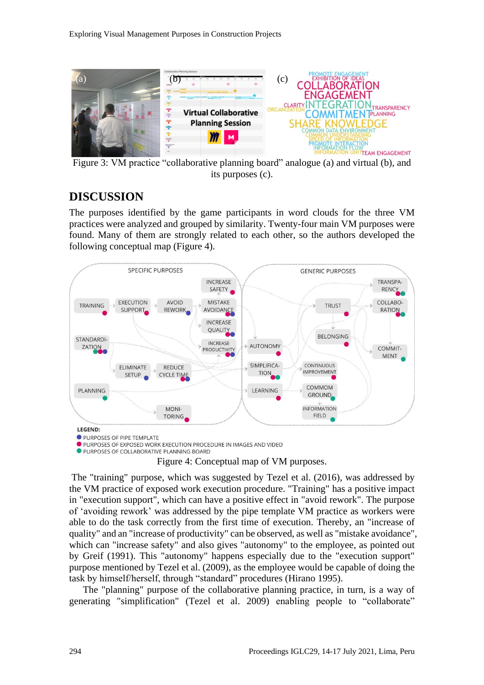

Figure 3: VM practice "collaborative planning board" analogue (a) and virtual (b), and its purposes (c).

## **DISCUSSION**

The purposes identified by the game participants in word clouds for the three VM practices were analyzed and grouped by similarity. Twenty-four main VM purposes were found. Many of them are strongly related to each other, so the authors developed the following conceptual map (Figure 4).



PURPOSES OF PIPE TEMPLATE

**O PURPOSES OF EXPOSED WORK EXECUTION PROCEDURE IN IMAGES AND VIDEO O PURPOSES OF COLLABORATIVE PLANNING BOARD** 

Figure 4: Conceptual map of VM purposes.

The "training" purpose, which was suggested by Tezel et al. (2016), was addressed by the VM practice of exposed work execution procedure. "Training" has a positive impact in "execution support", which can have a positive effect in "avoid rework". The purpose of 'avoiding rework' was addressed by the pipe template VM practice as workers were able to do the task correctly from the first time of execution. Thereby, an "increase of quality" and an "increase of productivity" can be observed, as well as "mistake avoidance", which can "increase safety" and also gives "autonomy" to the employee, as pointed out by Greif (1991). This "autonomy" happens especially due to the "execution support" purpose mentioned by Tezel et al. (2009), as the employee would be capable of doing the task by himself/herself, through "standard" procedures (Hirano 1995).

The "planning" purpose of the collaborative planning practice, in turn, is a way of generating "simplification" (Tezel et al. 2009) enabling people to "collaborate"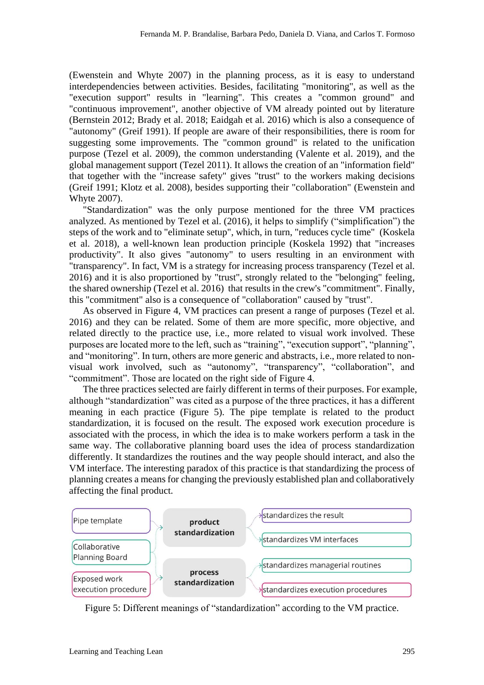(Ewenstein and Whyte 2007) in the planning process, as it is easy to understand interdependencies between activities. Besides, facilitating "monitoring", as well as the "execution support" results in "learning". This creates a "common ground" and "continuous improvement", another objective of VM already pointed out by literature (Bernstein 2012; Brady et al. 2018; Eaidgah et al. 2016) which is also a consequence of "autonomy" (Greif 1991). If people are aware of their responsibilities, there is room for suggesting some improvements. The "common ground" is related to the unification purpose (Tezel et al. 2009), the common understanding (Valente et al. 2019), and the global management support (Tezel 2011). It allows the creation of an "information field" that together with the "increase safety" gives "trust" to the workers making decisions (Greif 1991; Klotz et al. 2008), besides supporting their "collaboration" (Ewenstein and Whyte 2007).

"Standardization" was the only purpose mentioned for the three VM practices analyzed. As mentioned by Tezel et al. (2016), it helps to simplify ("simplification") the steps of the work and to "eliminate setup", which, in turn, "reduces cycle time" (Koskela et al. 2018), a well-known lean production principle (Koskela 1992) that "increases productivity". It also gives "autonomy" to users resulting in an environment with "transparency". In fact, VM is a strategy for increasing process transparency (Tezel et al. 2016) and it is also proportioned by "trust", strongly related to the "belonging" feeling, the shared ownership (Tezel et al. 2016) that results in the crew's "commitment". Finally, this "commitment" also is a consequence of "collaboration" caused by "trust".

As observed in Figure 4, VM practices can present a range of purposes (Tezel et al. 2016) and they can be related. Some of them are more specific, more objective, and related directly to the practice use, i.e., more related to visual work involved. These purposes are located more to the left, such as "training", "execution support", "planning", and "monitoring". In turn, others are more generic and abstracts, i.e., more related to nonvisual work involved, such as "autonomy", "transparency", "collaboration", and "commitment". Those are located on the right side of Figure 4.

The three practices selected are fairly different in terms of their purposes. For example, although "standardization" was cited as a purpose of the three practices, it has a different meaning in each practice (Figure 5). The pipe template is related to the product standardization, it is focused on the result. The exposed work execution procedure is associated with the process, in which the idea is to make workers perform a task in the same way. The collaborative planning board uses the idea of process standardization differently. It standardizes the routines and the way people should interact, and also the VM interface. The interesting paradox of this practice is that standardizing the process of planning creates a means for changing the previously established plan and collaboratively affecting the final product.



Figure 5: Different meanings of "standardization" according to the VM practice.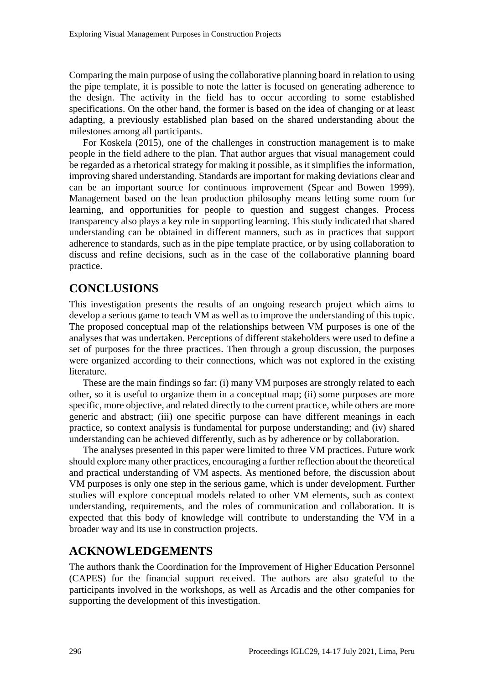Comparing the main purpose of using the collaborative planning board in relation to using the pipe template, it is possible to note the latter is focused on generating adherence to the design. The activity in the field has to occur according to some established specifications. On the other hand, the former is based on the idea of changing or at least adapting, a previously established plan based on the shared understanding about the milestones among all participants.

For Koskela (2015), one of the challenges in construction management is to make people in the field adhere to the plan. That author argues that visual management could be regarded as a rhetorical strategy for making it possible, as it simplifies the information, improving shared understanding. Standards are important for making deviations clear and can be an important source for continuous improvement (Spear and Bowen 1999). Management based on the lean production philosophy means letting some room for learning, and opportunities for people to question and suggest changes. Process transparency also plays a key role in supporting learning. This study indicated that shared understanding can be obtained in different manners, such as in practices that support adherence to standards, such as in the pipe template practice, or by using collaboration to discuss and refine decisions, such as in the case of the collaborative planning board practice.

### **CONCLUSIONS**

This investigation presents the results of an ongoing research project which aims to develop a serious game to teach VM as well as to improve the understanding of this topic. The proposed conceptual map of the relationships between VM purposes is one of the analyses that was undertaken. Perceptions of different stakeholders were used to define a set of purposes for the three practices. Then through a group discussion, the purposes were organized according to their connections, which was not explored in the existing literature.

These are the main findings so far: (i) many VM purposes are strongly related to each other, so it is useful to organize them in a conceptual map; (ii) some purposes are more specific, more objective, and related directly to the current practice, while others are more generic and abstract; (iii) one specific purpose can have different meanings in each practice, so context analysis is fundamental for purpose understanding; and (iv) shared understanding can be achieved differently, such as by adherence or by collaboration.

The analyses presented in this paper were limited to three VM practices. Future work should explore many other practices, encouraging a further reflection about the theoretical and practical understanding of VM aspects. As mentioned before, the discussion about VM purposes is only one step in the serious game, which is under development. Further studies will explore conceptual models related to other VM elements, such as context understanding, requirements, and the roles of communication and collaboration. It is expected that this body of knowledge will contribute to understanding the VM in a broader way and its use in construction projects.

### **ACKNOWLEDGEMENTS**

The authors thank the Coordination for the Improvement of Higher Education Personnel (CAPES) for the financial support received. The authors are also grateful to the participants involved in the workshops, as well as Arcadis and the other companies for supporting the development of this investigation.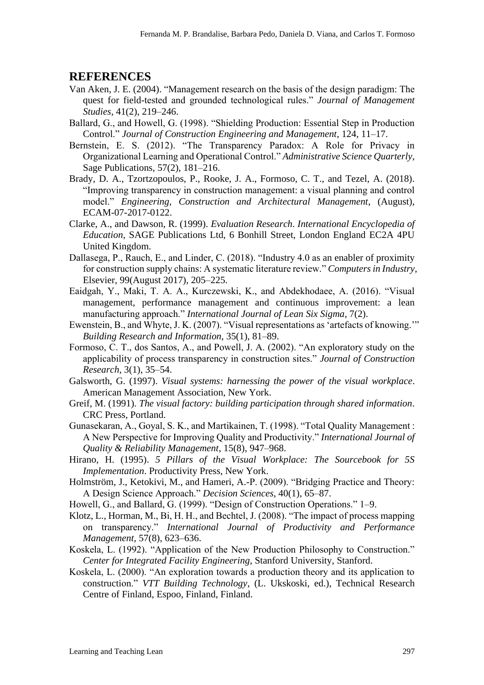#### **REFERENCES**

- Van Aken, J. E. (2004). "Management research on the basis of the design paradigm: The quest for field-tested and grounded technological rules." *Journal of Management Studies*, 41(2), 219–246.
- Ballard, G., and Howell, G. (1998). "Shielding Production: Essential Step in Production Control." *Journal of Construction Engineering and Management*, 124, 11–17.
- Bernstein, E. S. (2012). "The Transparency Paradox: A Role for Privacy in Organizational Learning and Operational Control." *Administrative Science Quarterly*, Sage Publications, 57(2), 181–216.
- Brady, D. A., Tzortzopoulos, P., Rooke, J. A., Formoso, C. T., and Tezel, A. (2018). "Improving transparency in construction management: a visual planning and control model." *Engineering, Construction and Architectural Management*, (August), ECAM-07-2017-0122.
- Clarke, A., and Dawson, R. (1999). *Evaluation Research*. *International Encyclopedia of Education*, SAGE Publications Ltd, 6 Bonhill Street, London England EC2A 4PU United Kingdom.
- Dallasega, P., Rauch, E., and Linder, C. (2018). "Industry 4.0 as an enabler of proximity for construction supply chains: A systematic literature review." *Computers in Industry*, Elsevier, 99(August 2017), 205–225.
- Eaidgah, Y., Maki, T. A. A., Kurczewski, K., and Abdekhodaee, A. (2016). "Visual management, performance management and continuous improvement: a lean manufacturing approach." *International Journal of Lean Six Sigma*, 7(2).
- Ewenstein, B., and Whyte, J. K. (2007). "Visual representations as 'artefacts of knowing.'" *Building Research and Information*, 35(1), 81–89.
- Formoso, C. T., dos Santos, A., and Powell, J. A. (2002). "An exploratory study on the applicability of process transparency in construction sites." *Journal of Construction Research*, 3(1), 35–54.
- Galsworth, G. (1997). *Visual systems: harnessing the power of the visual workplace*. American Management Association, New York.
- Greif, M. (1991). *The visual factory: building participation through shared information*. CRC Press, Portland.
- Gunasekaran, A., Goyal, S. K., and Martikainen, T. (1998). "Total Quality Management : A New Perspective for Improving Quality and Productivity." *International Journal of Quality & Reliability Management*, 15(8), 947–968.
- Hirano, H. (1995). *5 Pillars of the Visual Workplace: The Sourcebook for 5S Implementation*. Productivity Press, New York.
- Holmström, J., Ketokivi, M., and Hameri, A.-P. (2009). "Bridging Practice and Theory: A Design Science Approach." *Decision Sciences*, 40(1), 65–87.
- Howell, G., and Ballard, G. (1999). "Design of Construction Operations." 1–9.
- Klotz, L., Horman, M., Bi, H. H., and Bechtel, J. (2008). "The impact of process mapping on transparency." *International Journal of Productivity and Performance Management*, 57(8), 623–636.
- Koskela, L. (1992). "Application of the New Production Philosophy to Construction." *Center for Integrated Facility Engineering*, Stanford University, Stanford.
- Koskela, L. (2000). "An exploration towards a production theory and its application to construction." *VTT Building Technology*, (L. Ukskoski, ed.), Technical Research Centre of Finland, Espoo, Finland, Finland.